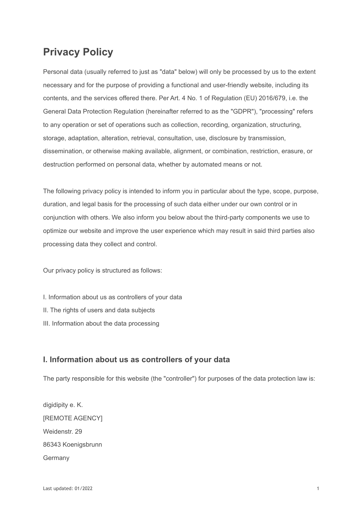# **Privacy Policy**

Personal data (usually referred to just as "data" below) will only be processed by us to the extent necessary and for the purpose of providing a functional and user-friendly website, including its contents, and the services offered there. Per Art. 4 No. 1 of Regulation (EU) 2016/679, i.e. the General Data Protection Regulation (hereinafter referred to as the "GDPR"), "processing" refers to any operation or set of operations such as collection, recording, organization, structuring, storage, adaptation, alteration, retrieval, consultation, use, disclosure by transmission, dissemination, or otherwise making available, alignment, or combination, restriction, erasure, or destruction performed on personal data, whether by automated means or not.

The following privacy policy is intended to inform you in particular about the type, scope, purpose, duration, and legal basis for the processing of such data either under our own control or in conjunction with others. We also inform you below about the third-party components we use to optimize our website and improve the user experience which may result in said third parties also processing data they collect and control.

Our privacy policy is structured as follows:

- I. Information about us as controllers of your data
- II. The rights of users and data subjects
- III. Information about the data processing

# **I. Information about us as controllers of your data**

The party responsible for this website (the "controller") for purposes of the data protection law is:

digidipity e. K. [REMOTE AGENCY] Weidenstr. 29 86343 Koenigsbrunn **Germany**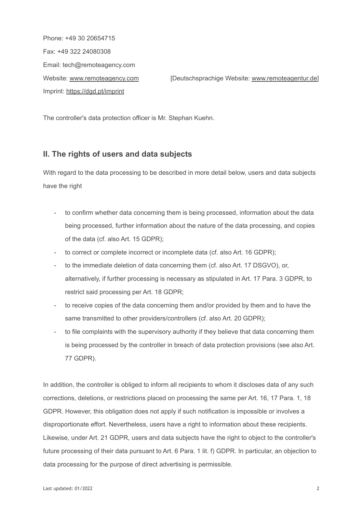Phone: +49 30 20654715 Fax: +49 322 24080308 Email: tech@remoteagency.com Imprint: [https://dgd.pt/imprint](https://www.remoteagency.com/imprint)

Website: [www.remoteagency.com](https://www.remoteagency.com) [Deutschsprachige Website: [www.remoteagentur.de\]](https://www.remoteagentur.de)

The controller's data protection officer is Mr. Stephan Kuehn.

# **II. The rights of users and data subjects**

With regard to the data processing to be described in more detail below, users and data subjects have the right

- to confirm whether data concerning them is being processed, information about the data being processed, further information about the nature of the data processing, and copies of the data (cf. also Art. 15 GDPR);
- to correct or complete incorrect or incomplete data (cf. also Art. 16 GDPR);
- to the immediate deletion of data concerning them (cf. also Art. 17 DSGVO), or, alternatively, if further processing is necessary as stipulated in Art. 17 Para. 3 GDPR, to restrict said processing per Art. 18 GDPR;
- to receive copies of the data concerning them and/or provided by them and to have the same transmitted to other providers/controllers (cf. also Art. 20 GDPR);
- to file complaints with the supervisory authority if they believe that data concerning them is being processed by the controller in breach of data protection provisions (see also Art. 77 GDPR).

In addition, the controller is obliged to inform all recipients to whom it discloses data of any such corrections, deletions, or restrictions placed on processing the same per Art. 16, 17 Para. 1, 18 GDPR. However, this obligation does not apply if such notification is impossible or involves a disproportionate effort. Nevertheless, users have a right to information about these recipients. Likewise, under Art. 21 GDPR, users and data subjects have the right to object to the controller's future processing of their data pursuant to Art. 6 Para. 1 lit. f) GDPR. In particular, an objection to data processing for the purpose of direct advertising is permissible.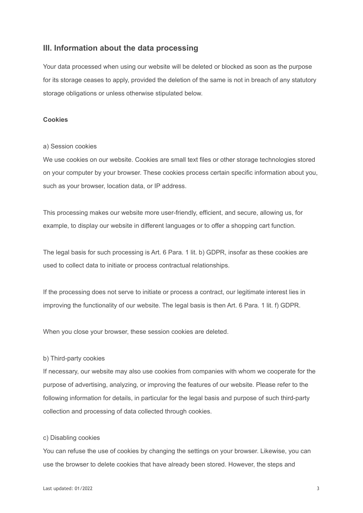# **III. Information about the data processing**

Your data processed when using our website will be deleted or blocked as soon as the purpose for its storage ceases to apply, provided the deletion of the same is not in breach of any statutory storage obligations or unless otherwise stipulated below.

## **Cookies**

#### a) Session cookies

We use cookies on our website. Cookies are small text files or other storage technologies stored on your computer by your browser. These cookies process certain specific information about you, such as your browser, location data, or IP address.

This processing makes our website more user-friendly, efficient, and secure, allowing us, for example, to display our website in different languages or to offer a shopping cart function.

The legal basis for such processing is Art. 6 Para. 1 lit. b) GDPR, insofar as these cookies are used to collect data to initiate or process contractual relationships.

If the processing does not serve to initiate or process a contract, our legitimate interest lies in improving the functionality of our website. The legal basis is then Art. 6 Para. 1 lit. f) GDPR.

When you close your browser, these session cookies are deleted.

#### b) Third-party cookies

If necessary, our website may also use cookies from companies with whom we cooperate for the purpose of advertising, analyzing, or improving the features of our website. Please refer to the following information for details, in particular for the legal basis and purpose of such third-party collection and processing of data collected through cookies.

#### c) Disabling cookies

You can refuse the use of cookies by changing the settings on your browser. Likewise, you can use the browser to delete cookies that have already been stored. However, the steps and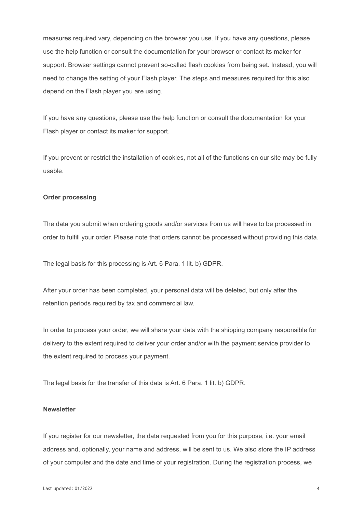measures required vary, depending on the browser you use. If you have any questions, please use the help function or consult the documentation for your browser or contact its maker for support. Browser settings cannot prevent so-called flash cookies from being set. Instead, you will need to change the setting of your Flash player. The steps and measures required for this also depend on the Flash player you are using.

If you have any questions, please use the help function or consult the documentation for your Flash player or contact its maker for support.

If you prevent or restrict the installation of cookies, not all of the functions on our site may be fully usable.

## **Order processing**

The data you submit when ordering goods and/or services from us will have to be processed in order to fulfill your order. Please note that orders cannot be processed without providing this data.

The legal basis for this processing is Art. 6 Para. 1 lit. b) GDPR.

After your order has been completed, your personal data will be deleted, but only after the retention periods required by tax and commercial law.

In order to process your order, we will share your data with the shipping company responsible for delivery to the extent required to deliver your order and/or with the payment service provider to the extent required to process your payment.

The legal basis for the transfer of this data is Art. 6 Para. 1 lit. b) GDPR.

#### **Newsletter**

If you register for our newsletter, the data requested from you for this purpose, i.e. your email address and, optionally, your name and address, will be sent to us. We also store the IP address of your computer and the date and time of your registration. During the registration process, we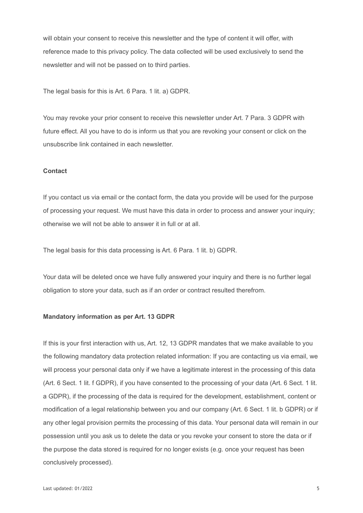will obtain your consent to receive this newsletter and the type of content it will offer, with reference made to this privacy policy. The data collected will be used exclusively to send the newsletter and will not be passed on to third parties.

The legal basis for this is Art. 6 Para. 1 lit. a) GDPR.

You may revoke your prior consent to receive this newsletter under Art. 7 Para. 3 GDPR with future effect. All you have to do is inform us that you are revoking your consent or click on the unsubscribe link contained in each newsletter.

#### **Contact**

If you contact us via email or the contact form, the data you provide will be used for the purpose of processing your request. We must have this data in order to process and answer your inquiry; otherwise we will not be able to answer it in full or at all.

The legal basis for this data processing is Art. 6 Para. 1 lit. b) GDPR.

Your data will be deleted once we have fully answered your inquiry and there is no further legal obligation to store your data, such as if an order or contract resulted therefrom.

## **Mandatory information as per Art. 13 GDPR**

If this is your first interaction with us, Art. 12, 13 GDPR mandates that we make available to you the following mandatory data protection related information: If you are contacting us via email, we will process your personal data only if we have a legitimate interest in the processing of this data (Art. 6 Sect. 1 lit. f GDPR), if you have consented to the processing of your data (Art. 6 Sect. 1 lit. a GDPR), if the processing of the data is required for the development, establishment, content or modification of a legal relationship between you and our company (Art. 6 Sect. 1 lit. b GDPR) or if any other legal provision permits the processing of this data. Your personal data will remain in our possession until you ask us to delete the data or you revoke your consent to store the data or if the purpose the data stored is required for no longer exists (e.g. once your request has been conclusively processed).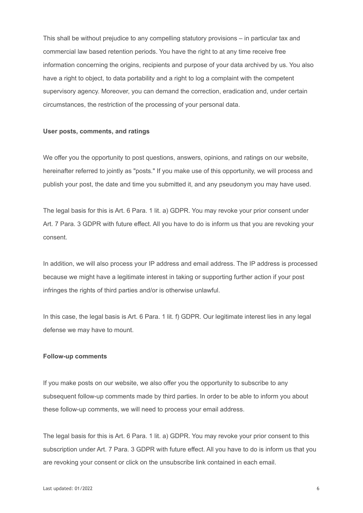This shall be without prejudice to any compelling statutory provisions – in particular tax and commercial law based retention periods. You have the right to at any time receive free information concerning the origins, recipients and purpose of your data archived by us. You also have a right to object, to data portability and a right to log a complaint with the competent supervisory agency. Moreover, you can demand the correction, eradication and, under certain circumstances, the restriction of the processing of your personal data.

#### **User posts, comments, and ratings**

We offer you the opportunity to post questions, answers, opinions, and ratings on our website, hereinafter referred to jointly as "posts." If you make use of this opportunity, we will process and publish your post, the date and time you submitted it, and any pseudonym you may have used.

The legal basis for this is Art. 6 Para. 1 lit. a) GDPR. You may revoke your prior consent under Art. 7 Para. 3 GDPR with future effect. All you have to do is inform us that you are revoking your consent.

In addition, we will also process your IP address and email address. The IP address is processed because we might have a legitimate interest in taking or supporting further action if your post infringes the rights of third parties and/or is otherwise unlawful.

In this case, the legal basis is Art. 6 Para. 1 lit. f) GDPR. Our legitimate interest lies in any legal defense we may have to mount.

#### **Follow-up comments**

If you make posts on our website, we also offer you the opportunity to subscribe to any subsequent follow-up comments made by third parties. In order to be able to inform you about these follow-up comments, we will need to process your email address.

The legal basis for this is Art. 6 Para. 1 lit. a) GDPR. You may revoke your prior consent to this subscription under Art. 7 Para. 3 GDPR with future effect. All you have to do is inform us that you are revoking your consent or click on the unsubscribe link contained in each email.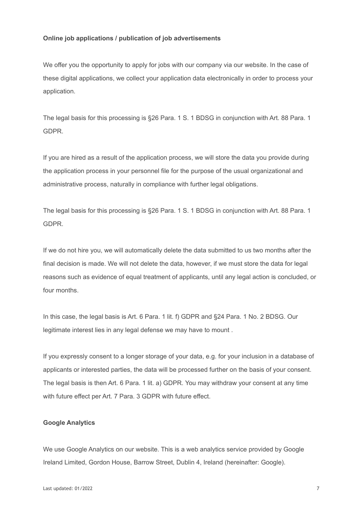#### **Online job applications / publication of job advertisements**

We offer you the opportunity to apply for jobs with our company via our website. In the case of these digital applications, we collect your application data electronically in order to process your application.

The legal basis for this processing is §26 Para. 1 S. 1 BDSG in conjunction with Art. 88 Para. 1 GDPR.

If you are hired as a result of the application process, we will store the data you provide during the application process in your personnel file for the purpose of the usual organizational and administrative process, naturally in compliance with further legal obligations.

The legal basis for this processing is §26 Para. 1 S. 1 BDSG in conjunction with Art. 88 Para. 1 GDPR.

If we do not hire you, we will automatically delete the data submitted to us two months after the final decision is made. We will not delete the data, however, if we must store the data for legal reasons such as evidence of equal treatment of applicants, until any legal action is concluded, or four months.

In this case, the legal basis is Art. 6 Para. 1 lit. f) GDPR and §24 Para. 1 No. 2 BDSG. Our legitimate interest lies in any legal defense we may have to mount .

If you expressly consent to a longer storage of your data, e.g. for your inclusion in a database of applicants or interested parties, the data will be processed further on the basis of your consent. The legal basis is then Art. 6 Para. 1 lit. a) GDPR. You may withdraw your consent at any time with future effect per Art. 7 Para. 3 GDPR with future effect.

#### **Google Analytics**

We use Google Analytics on our website. This is a web analytics service provided by Google Ireland Limited, Gordon House, Barrow Street, Dublin 4, Ireland (hereinafter: Google).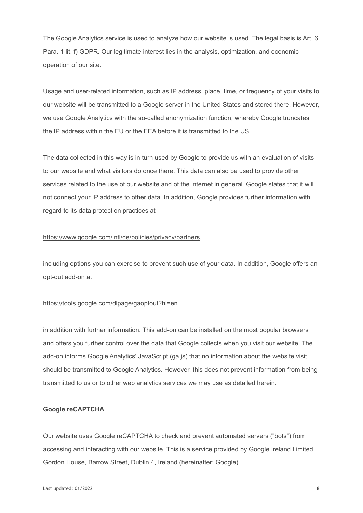The Google Analytics service is used to analyze how our website is used. The legal basis is Art. 6 Para. 1 lit. f) GDPR. Our legitimate interest lies in the analysis, optimization, and economic operation of our site.

Usage and user-related information, such as IP address, place, time, or frequency of your visits to our website will be transmitted to a Google server in the United States and stored there. However, we use Google Analytics with the so-called anonymization function, whereby Google truncates the IP address within the EU or the EEA before it is transmitted to the US.

The data collected in this way is in turn used by Google to provide us with an evaluation of visits to our website and what visitors do once there. This data can also be used to provide other services related to the use of our website and of the internet in general. Google states that it will not connect your IP address to other data. In addition, Google provides further information with regard to its data protection practices at

## <https://www.google.com/intl/de/policies/privacy/partners>,

including options you can exercise to prevent such use of your data. In addition, Google offers an opt-out add-on at

#### <https://tools.google.com/dlpage/gaoptout?hl=en>

in addition with further information. This add-on can be installed on the most popular browsers and offers you further control over the data that Google collects when you visit our website. The add-on informs Google Analytics' JavaScript (ga.js) that no information about the website visit should be transmitted to Google Analytics. However, this does not prevent information from being transmitted to us or to other web analytics services we may use as detailed herein.

## **Google reCAPTCHA**

Our website uses Google reCAPTCHA to check and prevent automated servers ("bots") from accessing and interacting with our website. This is a service provided by Google Ireland Limited, Gordon House, Barrow Street, Dublin 4, Ireland (hereinafter: Google).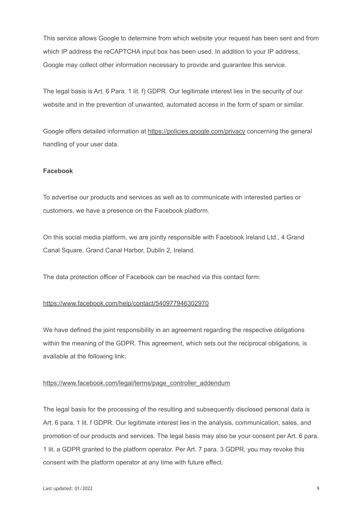This service allows Google to determine from which website your request has been sent and from which IP address the reCAPTCHA input box has been used. In addition to your IP address, Google may collect other information necessary to provide and guarantee this service.

The legal basis is Art. 6 Para. 1 lit. f) GDPR. Our legitimate interest lies in the security of our website and in the prevention of unwanted, automated access in the form of spam or similar.

Google offers detailed information at <https://policies.google.com/privacy> concerning the general handling of your user data.

## **Facebook**

To advertise our products and services as well as to communicate with interested parties or customers, we have a presence on the Facebook platform.

On this social media platform, we are jointly responsible with Facebook Ireland Ltd., 4 Grand Canal Square, Grand Canal Harbor, Dublin 2, Ireland.

The data protection officer of Facebook can be reached via this contact form:

## <https://www.facebook.com/help/contact/540977946302970>

We have defined the joint responsibility in an agreement regarding the respective obligations within the meaning of the GDPR. This agreement, which sets out the reciprocal obligations, is available at the following link:

## [https://www.facebook.com/legal/terms/page\\_controller\\_addendum](https://www.facebook.com/legal/terms/page_controller_addendum)

The legal basis for the processing of the resulting and subsequently disclosed personal data is Art. 6 para. 1 lit. f GDPR. Our legitimate interest lies in the analysis, communication, sales, and promotion of our products and services. The legal basis may also be your consent per Art. 6 para. 1 lit. a GDPR granted to the platform operator. Per Art. 7 para. 3 GDPR, you may revoke this consent with the platform operator at any time with future effect.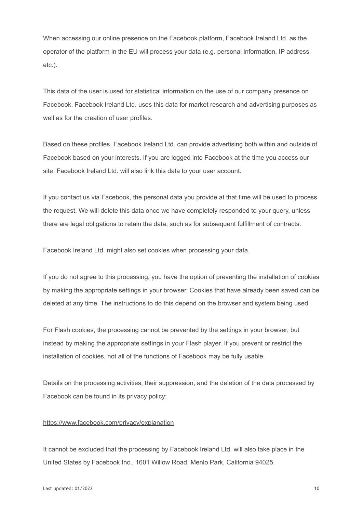When accessing our online presence on the Facebook platform, Facebook Ireland Ltd. as the operator of the platform in the EU will process your data (e.g. personal information, IP address, etc.).

This data of the user is used for statistical information on the use of our company presence on Facebook. Facebook Ireland Ltd. uses this data for market research and advertising purposes as well as for the creation of user profiles.

Based on these profiles, Facebook Ireland Ltd. can provide advertising both within and outside of Facebook based on your interests. If you are logged into Facebook at the time you access our site, Facebook Ireland Ltd. will also link this data to your user account.

If you contact us via Facebook, the personal data you provide at that time will be used to process the request. We will delete this data once we have completely responded to your query, unless there are legal obligations to retain the data, such as for subsequent fulfillment of contracts.

Facebook Ireland Ltd. might also set cookies when processing your data.

If you do not agree to this processing, you have the option of preventing the installation of cookies by making the appropriate settings in your browser. Cookies that have already been saved can be deleted at any time. The instructions to do this depend on the browser and system being used.

For Flash cookies, the processing cannot be prevented by the settings in your browser, but instead by making the appropriate settings in your Flash player. If you prevent or restrict the installation of cookies, not all of the functions of Facebook may be fully usable.

Details on the processing activities, their suppression, and the deletion of the data processed by Facebook can be found in its privacy policy:

#### <https://www.facebook.com/privacy/explanation>

It cannot be excluded that the processing by Facebook Ireland Ltd. will also take place in the United States by Facebook Inc., 1601 Willow Road, Menlo Park, California 94025.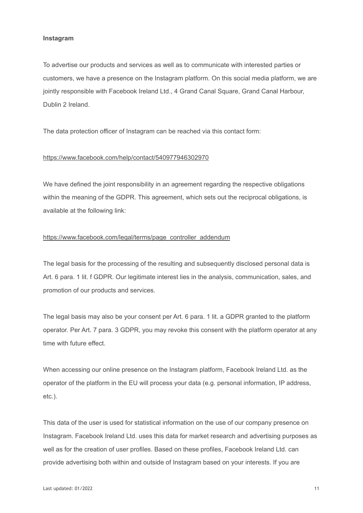#### **Instagram**

To advertise our products and services as well as to communicate with interested parties or customers, we have a presence on the Instagram platform. On this social media platform, we are jointly responsible with Facebook Ireland Ltd., 4 Grand Canal Square, Grand Canal Harbour, Dublin 2 Ireland.

The data protection officer of Instagram can be reached via this contact form:

#### <https://www.facebook.com/help/contact/540977946302970>

We have defined the joint responsibility in an agreement regarding the respective obligations within the meaning of the GDPR. This agreement, which sets out the reciprocal obligations, is available at the following link:

## [https://www.facebook.com/legal/terms/page\\_controller\\_addendum](https://www.facebook.com/legal/terms/page_controller_addendum)

The legal basis for the processing of the resulting and subsequently disclosed personal data is Art. 6 para. 1 lit. f GDPR. Our legitimate interest lies in the analysis, communication, sales, and promotion of our products and services.

The legal basis may also be your consent per Art. 6 para. 1 lit. a GDPR granted to the platform operator. Per Art. 7 para. 3 GDPR, you may revoke this consent with the platform operator at any time with future effect.

When accessing our online presence on the Instagram platform, Facebook Ireland Ltd. as the operator of the platform in the EU will process your data (e.g. personal information, IP address, etc.).

This data of the user is used for statistical information on the use of our company presence on Instagram. Facebook Ireland Ltd. uses this data for market research and advertising purposes as well as for the creation of user profiles. Based on these profiles, Facebook Ireland Ltd. can provide advertising both within and outside of Instagram based on your interests. If you are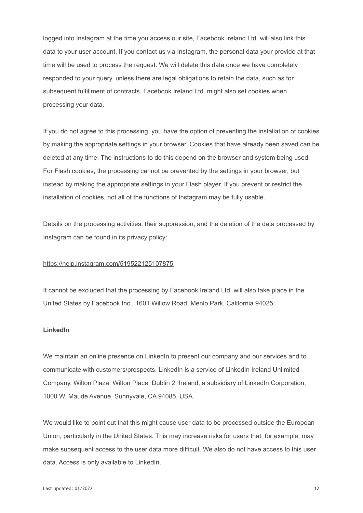logged into Instagram at the time you access our site, Facebook Ireland Ltd. will also link this data to your user account. If you contact us via Instagram, the personal data your provide at that time will be used to process the request. We will delete this data once we have completely responded to your query, unless there are legal obligations to retain the data, such as for subsequent fulfillment of contracts. Facebook Ireland Ltd. might also set cookies when processing your data.

If you do not agree to this processing, you have the option of preventing the installation of cookies by making the appropriate settings in your browser. Cookies that have already been saved can be deleted at any time. The instructions to do this depend on the browser and system being used. For Flash cookies, the processing cannot be prevented by the settings in your browser, but instead by making the appropriate settings in your Flash player. If you prevent or restrict the installation of cookies, not all of the functions of Instagram may be fully usable.

Details on the processing activities, their suppression, and the deletion of the data processed by Instagram can be found in its privacy policy:

## <https://help.instagram.com/519522125107875>

It cannot be excluded that the processing by Facebook Ireland Ltd. will also take place in the United States by Facebook Inc., 1601 Willow Road, Menlo Park, California 94025.

#### **LinkedIn**

We maintain an online presence on LinkedIn to present our company and our services and to communicate with customers/prospects. LinkedIn is a service of LinkedIn Ireland Unlimited Company, Wilton Plaza, Wilton Place, Dublin 2, Ireland, a subsidiary of LinkedIn Corporation, 1000 W. Maude Avenue, Sunnyvale, CA 94085, USA.

We would like to point out that this might cause user data to be processed outside the European Union, particularly in the United States. This may increase risks for users that, for example, may make subsequent access to the user data more difficult. We also do not have access to this user data. Access is only available to LinkedIn.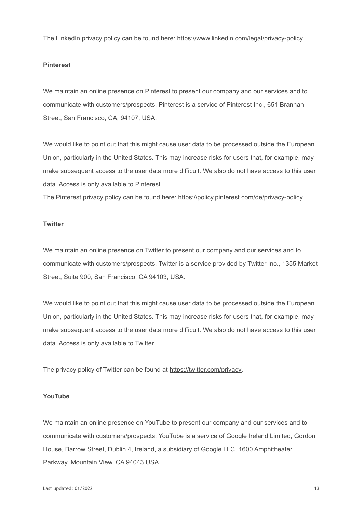The LinkedIn privacy policy can be found here: <https://www.linkedin.com/legal/privacy-policy>

## **Pinterest**

We maintain an online presence on Pinterest to present our company and our services and to communicate with customers/prospects. Pinterest is a service of Pinterest Inc., 651 Brannan Street, San Francisco, CA, 94107, USA.

We would like to point out that this might cause user data to be processed outside the European Union, particularly in the United States. This may increase risks for users that, for example, may make subsequent access to the user data more difficult. We also do not have access to this user data. Access is only available to Pinterest.

The Pinterest privacy policy can be found here: <https://policy.pinterest.com/de/privacy-policy>

#### **Twitter**

We maintain an online presence on Twitter to present our company and our services and to communicate with customers/prospects. Twitter is a service provided by Twitter Inc., 1355 Market Street, Suite 900, San Francisco, CA 94103, USA.

We would like to point out that this might cause user data to be processed outside the European Union, particularly in the United States. This may increase risks for users that, for example, may make subsequent access to the user data more difficult. We also do not have access to this user data. Access is only available to Twitter.

The privacy policy of Twitter can be found at [https://twitter.com/privacy.](https://twitter.com/privacy)

## **YouTube**

We maintain an online presence on YouTube to present our company and our services and to communicate with customers/prospects. YouTube is a service of Google Ireland Limited, Gordon House, Barrow Street, Dublin 4, Ireland, a subsidiary of Google LLC, 1600 Amphitheater Parkway, Mountain View, CA 94043 USA.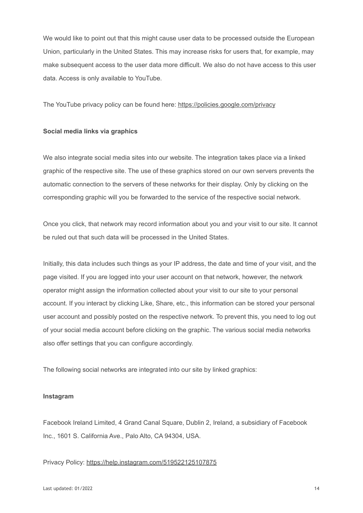We would like to point out that this might cause user data to be processed outside the European Union, particularly in the United States. This may increase risks for users that, for example, may make subsequent access to the user data more difficult. We also do not have access to this user data. Access is only available to YouTube.

The YouTube privacy policy can be found here: <https://policies.google.com/privacy>

## **Social media links via graphics**

We also integrate social media sites into our website. The integration takes place via a linked graphic of the respective site. The use of these graphics stored on our own servers prevents the automatic connection to the servers of these networks for their display. Only by clicking on the corresponding graphic will you be forwarded to the service of the respective social network.

Once you click, that network may record information about you and your visit to our site. It cannot be ruled out that such data will be processed in the United States.

Initially, this data includes such things as your IP address, the date and time of your visit, and the page visited. If you are logged into your user account on that network, however, the network operator might assign the information collected about your visit to our site to your personal account. If you interact by clicking Like, Share, etc., this information can be stored your personal user account and possibly posted on the respective network. To prevent this, you need to log out of your social media account before clicking on the graphic. The various social media networks also offer settings that you can configure accordingly.

The following social networks are integrated into our site by linked graphics:

#### **Instagram**

Facebook Ireland Limited, 4 Grand Canal Square, Dublin 2, Ireland, a subsidiary of Facebook Inc., 1601 S. California Ave., Palo Alto, CA 94304, USA.

Privacy Policy: <https://help.instagram.com/519522125107875>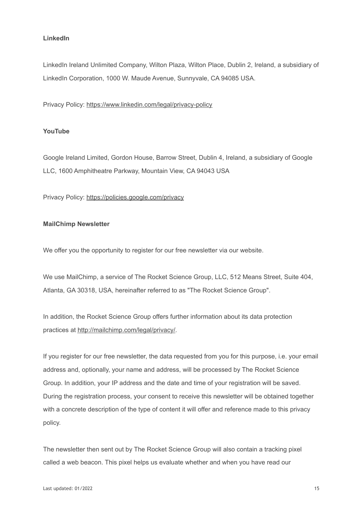## **LinkedIn**

LinkedIn Ireland Unlimited Company, Wilton Plaza, Wilton Place, Dublin 2, Ireland, a subsidiary of LinkedIn Corporation, 1000 W. Maude Avenue, Sunnyvale, CA 94085 USA.

Privacy Policy: <https://www.linkedin.com/legal/privacy-policy>

## **YouTube**

Google Ireland Limited, Gordon House, Barrow Street, Dublin 4, Ireland, a subsidiary of Google LLC, 1600 Amphitheatre Parkway, Mountain View, CA 94043 USA

Privacy Policy: <https://policies.google.com/privacy>

#### **MailChimp Newsletter**

We offer you the opportunity to register for our free newsletter via our website.

We use MailChimp, a service of The Rocket Science Group, LLC, 512 Means Street, Suite 404, Atlanta, GA 30318, USA, hereinafter referred to as "The Rocket Science Group".

In addition, the Rocket Science Group offers further information about its data protection practices at [http://mailchimp.com/legal/privacy/.](http://mailchimp.com/legal/privacy/)

If you register for our free newsletter, the data requested from you for this purpose, i.e. your email address and, optionally, your name and address, will be processed by The Rocket Science Group. In addition, your IP address and the date and time of your registration will be saved. During the registration process, your consent to receive this newsletter will be obtained together with a concrete description of the type of content it will offer and reference made to this privacy policy.

The newsletter then sent out by The Rocket Science Group will also contain a tracking pixel called a web beacon. This pixel helps us evaluate whether and when you have read our